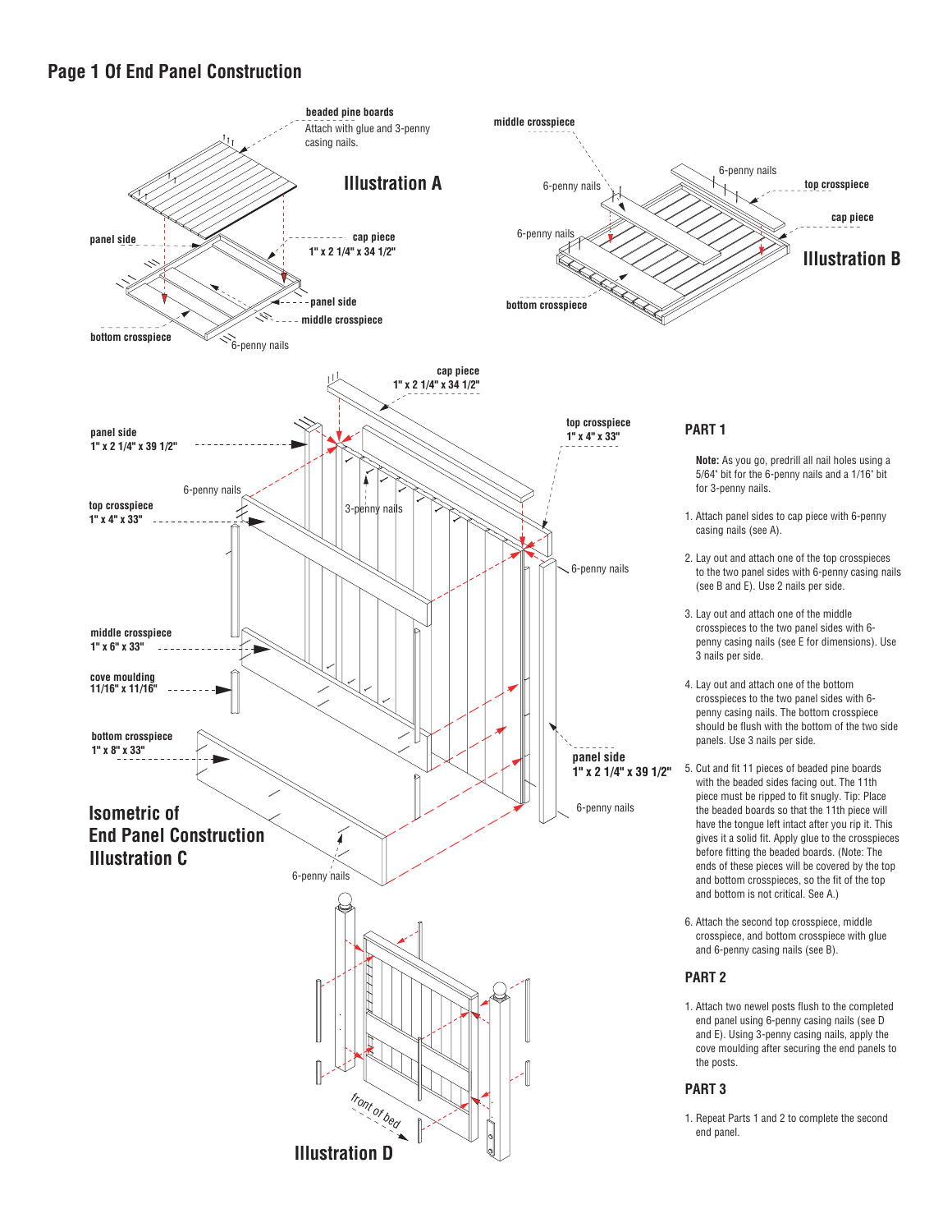## **Page 1 Of End Panel Construction**

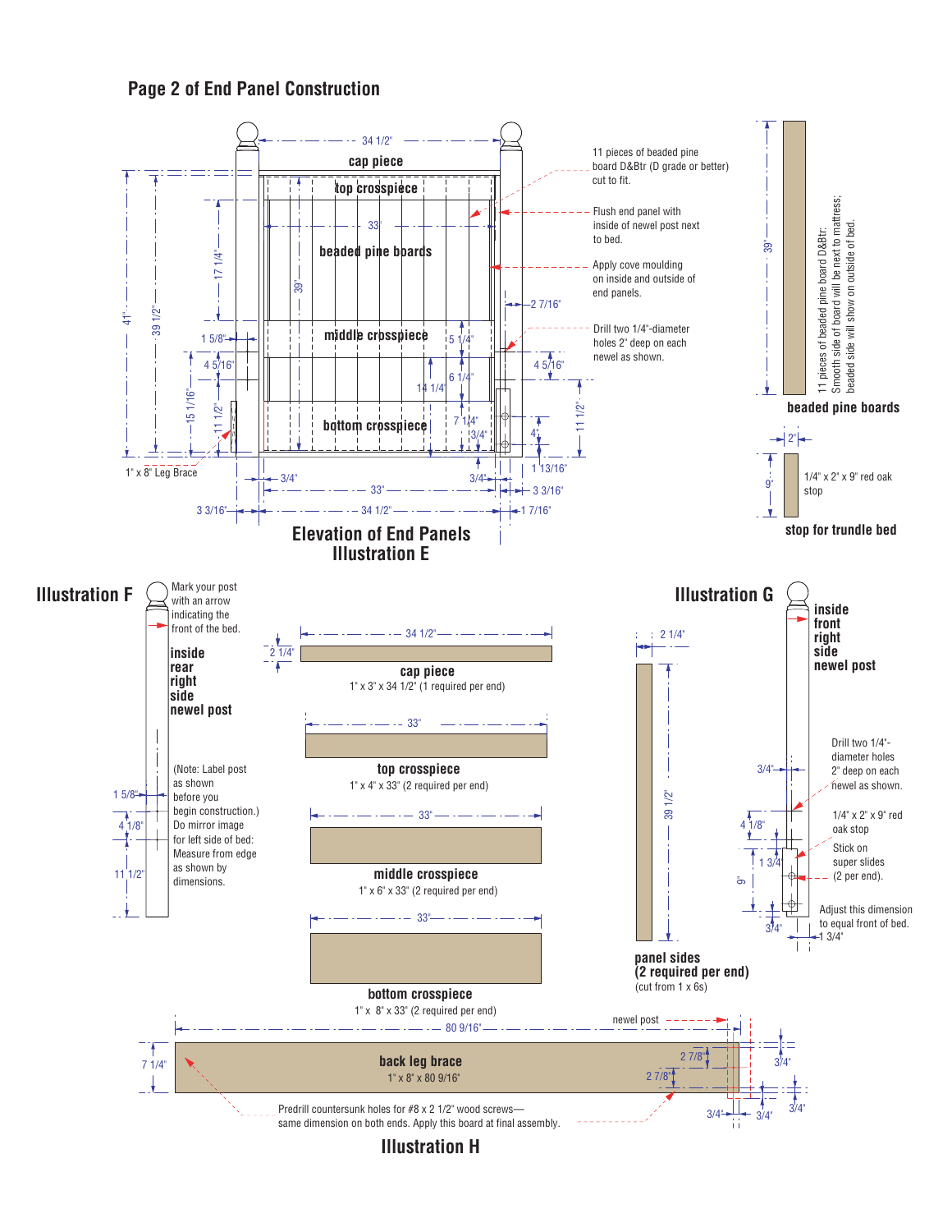## **Page 2 of End Panel Construction**



**Illustration H**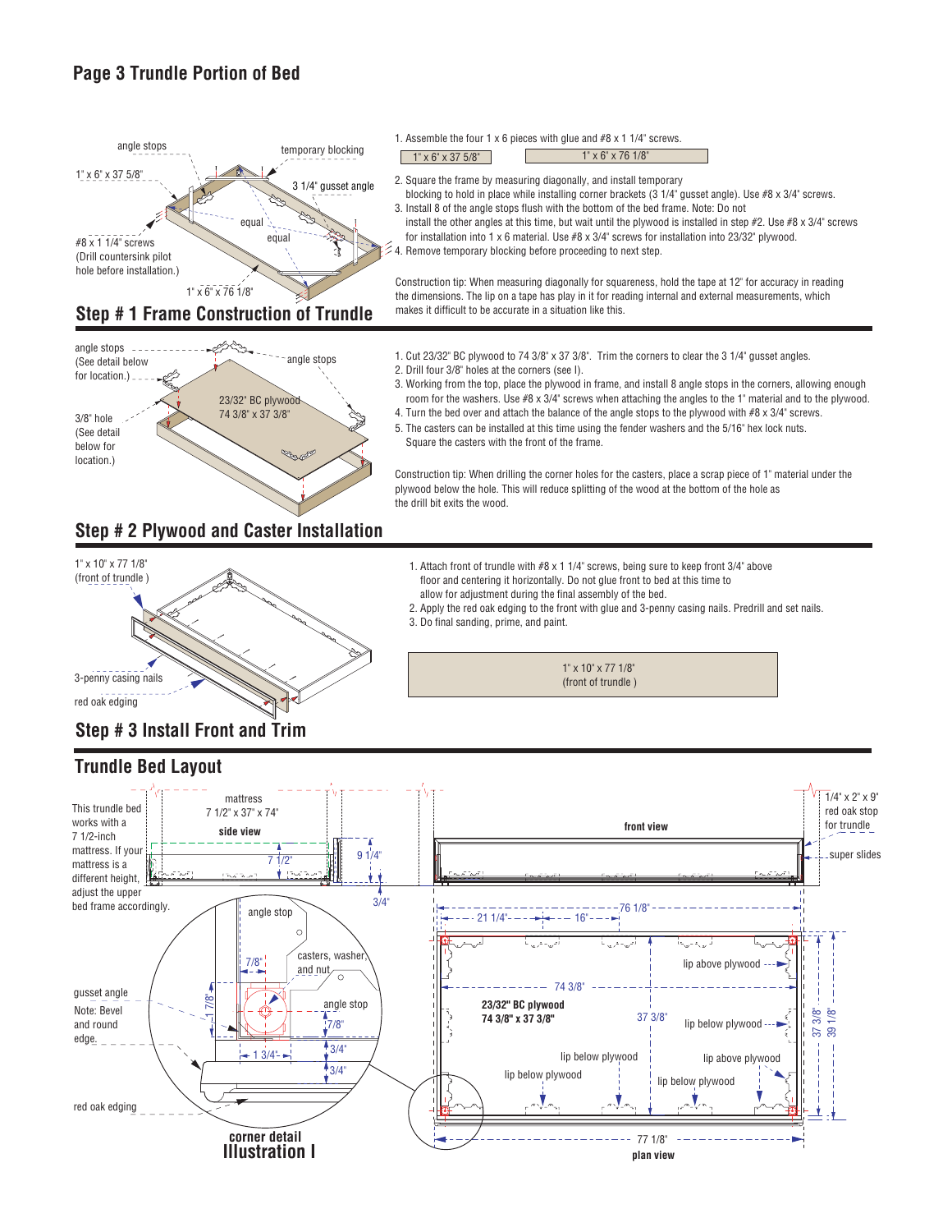## **Page 3 Trundle Portion of Bed**